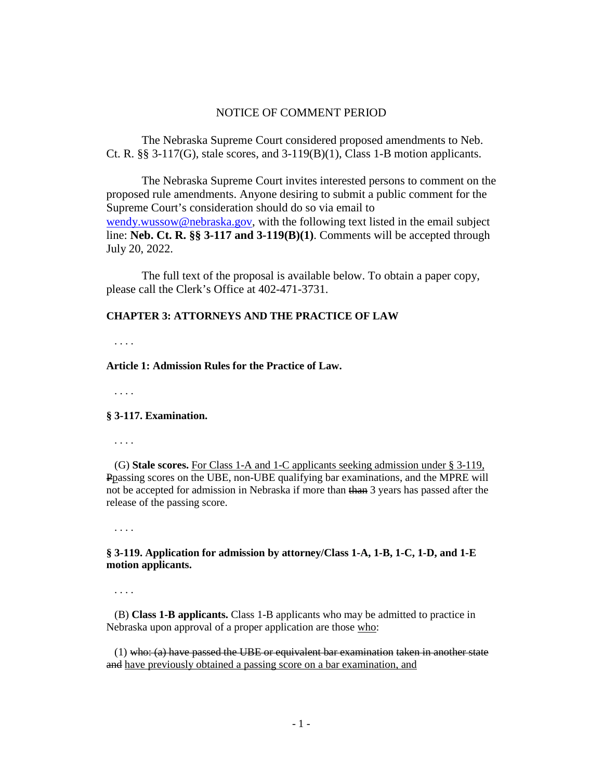# NOTICE OF COMMENT PERIOD

The Nebraska Supreme Court considered proposed amendments to Neb. Ct. R.  $\S$ § 3-117(G), stale scores, and 3-119(B)(1), Class 1-B motion applicants.

The Nebraska Supreme Court invites interested persons to comment on the proposed rule amendments. Anyone desiring to submit a public comment for the Supreme Court's consideration should do so via email to [wendy.wussow@nebraska.gov,](mailto:wendy.wussow@nebraska.gov) with the following text listed in the email subject line: **Neb. Ct. R. §§ 3-117 and 3-119(B)(1)**. Comments will be accepted through July 20, 2022.

The full text of the proposal is available below. To obtain a paper copy, please call the Clerk's Office at 402-471-3731.

### **CHAPTER 3: ATTORNEYS AND THE PRACTICE OF LAW**

. . . .

### **Article 1: Admission Rules for the Practice of Law.**

. . . .

#### **§ 3-117. Examination.**

. . . .

(G) **Stale scores.** For Class 1-A and 1-C applicants seeking admission under § 3-119, Ppassing scores on the UBE, non-UBE qualifying bar examinations, and the MPRE will not be accepted for admission in Nebraska if more than than 3 years has passed after the release of the passing score.

. . . .

# **§ 3-119. Application for admission by attorney/Class 1-A, 1-B, 1-C, 1-D, and 1-E motion applicants.**

. . . .

 (B) **Class 1-B applicants.** Class 1-B applicants who may be admitted to practice in Nebraska upon approval of a proper application are those who:

 $(1)$  who:  $(a)$  have passed the UBE or equivalent bar examination taken in another state and have previously obtained a passing score on a bar examination, and